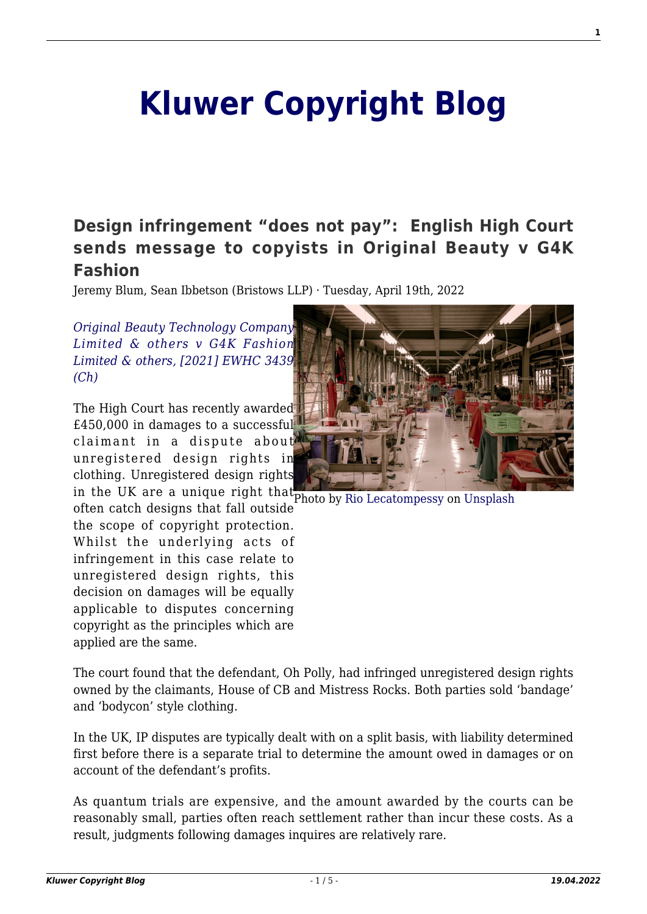# **[Kluwer Copyright Blog](http://copyrightblog.kluweriplaw.com/)**

# **[Design infringement "does not pay": English High Court](http://copyrightblog.kluweriplaw.com/2022/04/19/design-infringement-does-not-pay-english-high-court-sends-message-to-copyists-in-original-beauty-v-g4k-fashion/) [sends message to copyists in Original Beauty v G4K](http://copyrightblog.kluweriplaw.com/2022/04/19/design-infringement-does-not-pay-english-high-court-sends-message-to-copyists-in-original-beauty-v-g4k-fashion/) [Fashion](http://copyrightblog.kluweriplaw.com/2022/04/19/design-infringement-does-not-pay-english-high-court-sends-message-to-copyists-in-original-beauty-v-g4k-fashion/)**

Jeremy Blum, Sean Ibbetson (Bristows LLP) · Tuesday, April 19th, 2022

*[Original Beauty Technology Company](https://www.bailii.org/ew/cases/EWHC/Ch/2021/3439.html) [Limited & others v G4K Fashion](https://www.bailii.org/ew/cases/EWHC/Ch/2021/3439.html) [Limited & others, \[2021\] EWHC 3439](https://www.bailii.org/ew/cases/EWHC/Ch/2021/3439.html) [\(Ch\)](https://www.bailii.org/ew/cases/EWHC/Ch/2021/3439.html)*

The High Court has recently awarded £450,000 in damages to a successful claimant in a dispute about unregistered design rights in clothing. Unregistered design rights

in the UK are a unique right that photo by [Rio Lecatompessy](https://unsplash.com/@riolec?utm_source=unsplash&utm_medium=referral&utm_content=creditCopyText) on [Unsplash](https://unsplash.com/s/photos/sewing?utm_source=unsplash&utm_medium=referral&utm_content=creditCopyText) often catch designs that fall outside the scope of copyright protection. Whilst the underlying acts of infringement in this case relate to unregistered design rights, this decision on damages will be equally applicable to disputes concerning copyright as the principles which are applied are the same.



In the UK, IP disputes are typically dealt with on a split basis, with liability determined first before there is a separate trial to determine the amount owed in damages or on account of the defendant's profits.

As quantum trials are expensive, and the amount awarded by the courts can be reasonably small, parties often reach settlement rather than incur these costs. As a result, judgments following damages inquires are relatively rare.

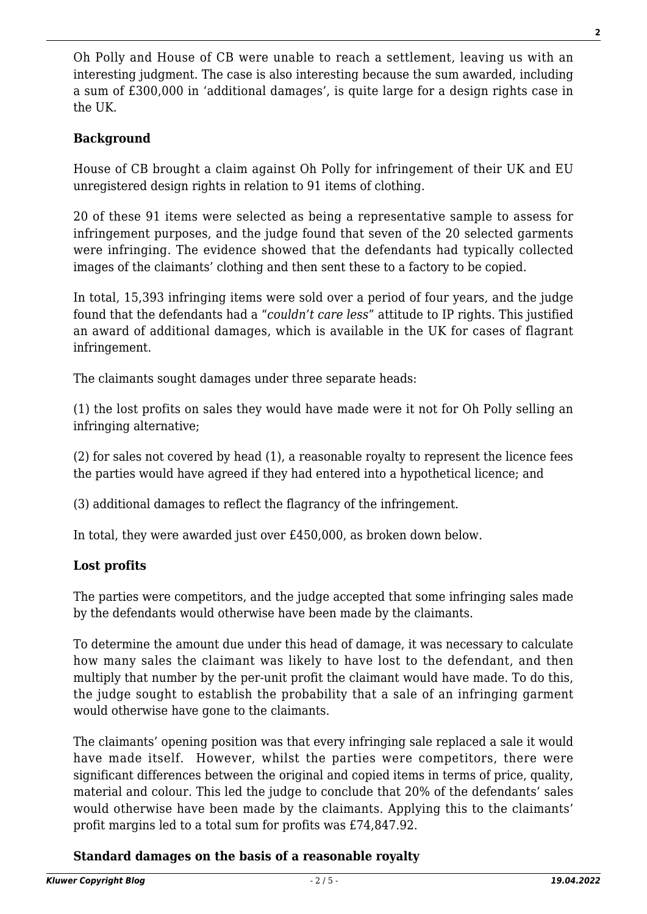Oh Polly and House of CB were unable to reach a settlement, leaving us with an interesting judgment. The case is also interesting because the sum awarded, including a sum of £300,000 in 'additional damages', is quite large for a design rights case in the UK.

### **Background**

House of CB brought a claim against Oh Polly for infringement of their UK and EU unregistered design rights in relation to 91 items of clothing.

20 of these 91 items were selected as being a representative sample to assess for infringement purposes, and the judge found that seven of the 20 selected garments were infringing. The evidence showed that the defendants had typically collected images of the claimants' clothing and then sent these to a factory to be copied.

In total, 15,393 infringing items were sold over a period of four years, and the judge found that the defendants had a "*couldn't care less*" attitude to IP rights. This justified an award of additional damages, which is available in the UK for cases of flagrant infringement.

The claimants sought damages under three separate heads:

(1) the lost profits on sales they would have made were it not for Oh Polly selling an infringing alternative;

(2) for sales not covered by head (1), a reasonable royalty to represent the licence fees the parties would have agreed if they had entered into a hypothetical licence; and

(3) additional damages to reflect the flagrancy of the infringement.

In total, they were awarded just over £450,000, as broken down below.

#### **Lost profits**

The parties were competitors, and the judge accepted that some infringing sales made by the defendants would otherwise have been made by the claimants.

To determine the amount due under this head of damage, it was necessary to calculate how many sales the claimant was likely to have lost to the defendant, and then multiply that number by the per-unit profit the claimant would have made. To do this, the judge sought to establish the probability that a sale of an infringing garment would otherwise have gone to the claimants.

The claimants' opening position was that every infringing sale replaced a sale it would have made itself. However, whilst the parties were competitors, there were significant differences between the original and copied items in terms of price, quality, material and colour. This led the judge to conclude that 20% of the defendants' sales would otherwise have been made by the claimants. Applying this to the claimants' profit margins led to a total sum for profits was £74,847.92.

#### **Standard damages on the basis of a reasonable royalty**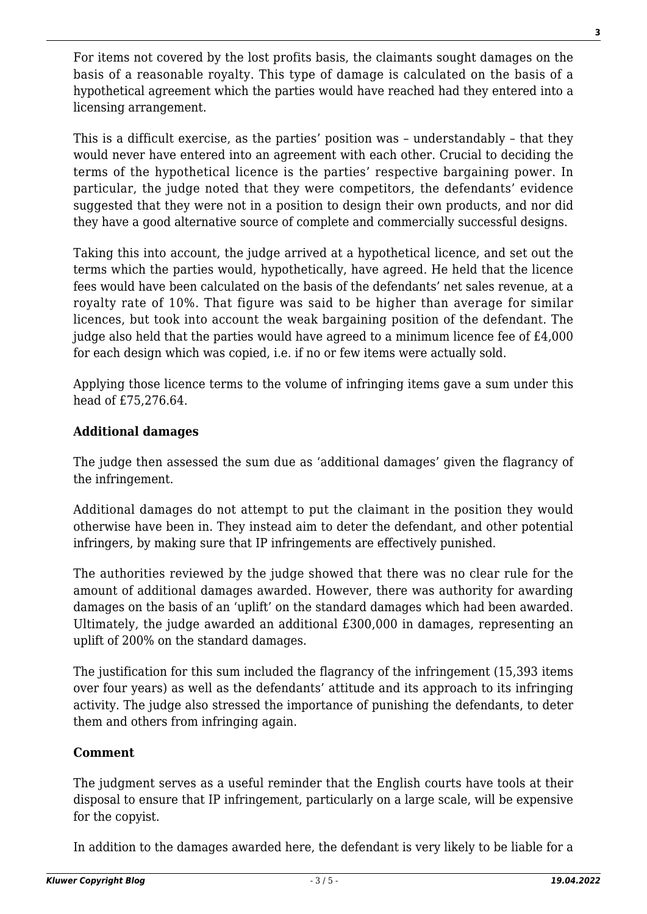For items not covered by the lost profits basis, the claimants sought damages on the basis of a reasonable royalty. This type of damage is calculated on the basis of a hypothetical agreement which the parties would have reached had they entered into a licensing arrangement.

This is a difficult exercise, as the parties' position was – understandably – that they would never have entered into an agreement with each other. Crucial to deciding the terms of the hypothetical licence is the parties' respective bargaining power. In particular, the judge noted that they were competitors, the defendants' evidence suggested that they were not in a position to design their own products, and nor did they have a good alternative source of complete and commercially successful designs.

Taking this into account, the judge arrived at a hypothetical licence, and set out the terms which the parties would, hypothetically, have agreed. He held that the licence fees would have been calculated on the basis of the defendants' net sales revenue, at a royalty rate of 10%. That figure was said to be higher than average for similar licences, but took into account the weak bargaining position of the defendant. The judge also held that the parties would have agreed to a minimum licence fee of £4,000 for each design which was copied, i.e. if no or few items were actually sold.

Applying those licence terms to the volume of infringing items gave a sum under this head of £75,276.64.

#### **Additional damages**

The judge then assessed the sum due as 'additional damages' given the flagrancy of the infringement.

Additional damages do not attempt to put the claimant in the position they would otherwise have been in. They instead aim to deter the defendant, and other potential infringers, by making sure that IP infringements are effectively punished.

The authorities reviewed by the judge showed that there was no clear rule for the amount of additional damages awarded. However, there was authority for awarding damages on the basis of an 'uplift' on the standard damages which had been awarded. Ultimately, the judge awarded an additional £300,000 in damages, representing an uplift of 200% on the standard damages.

The justification for this sum included the flagrancy of the infringement (15,393 items over four years) as well as the defendants' attitude and its approach to its infringing activity. The judge also stressed the importance of punishing the defendants, to deter them and others from infringing again.

#### **Comment**

The judgment serves as a useful reminder that the English courts have tools at their disposal to ensure that IP infringement, particularly on a large scale, will be expensive for the copyist.

In addition to the damages awarded here, the defendant is very likely to be liable for a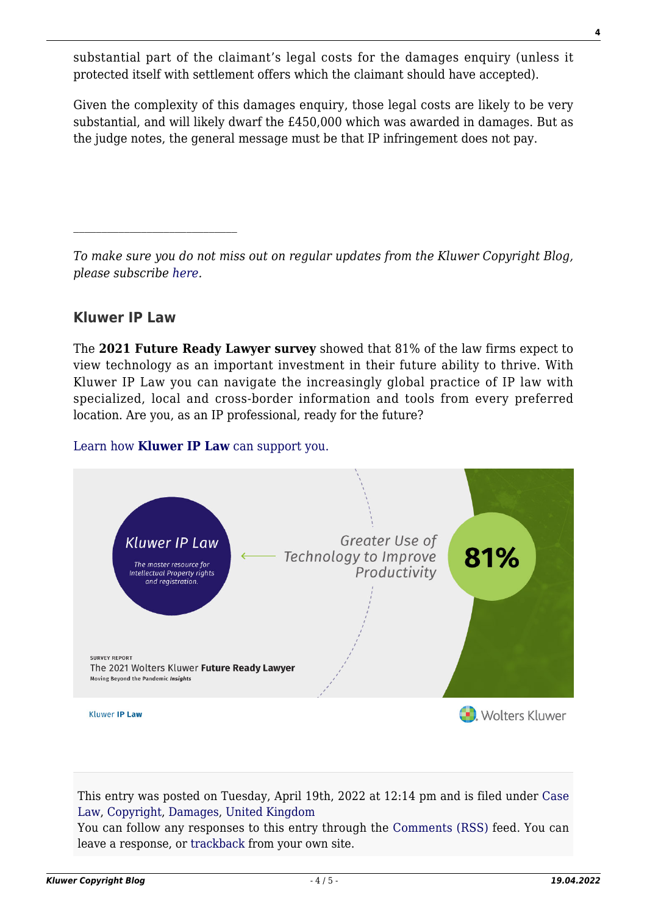substantial part of the claimant's legal costs for the damages enquiry (unless it protected itself with settlement offers which the claimant should have accepted).

Given the complexity of this damages enquiry, those legal costs are likely to be very substantial, and will likely dwarf the £450,000 which was awarded in damages. But as the judge notes, the general message must be that IP infringement does not pay.

*To make sure you do not miss out on regular updates from the Kluwer Copyright Blog, please subscribe [here.](http://copyrightblog.kluweriplaw.com/newsletter)*

## **Kluwer IP Law**

 $\mathcal{L}_\text{max}$ 

The **2021 Future Ready Lawyer survey** showed that 81% of the law firms expect to view technology as an important investment in their future ability to thrive. With Kluwer IP Law you can navigate the increasingly global practice of IP law with specialized, local and cross-border information and tools from every preferred location. Are you, as an IP professional, ready for the future?

#### [Learn how](https://www.wolterskluwer.com/en/solutions/kluweriplaw?utm_source=copyrightnblog&utm_medium=articleCTA&utm_campaign=article-banner) **[Kluwer IP Law](https://www.wolterskluwer.com/en/solutions/kluweriplaw?utm_source=copyrightnblog&utm_medium=articleCTA&utm_campaign=article-banner)** [can support you.](https://www.wolterskluwer.com/en/solutions/kluweriplaw?utm_source=copyrightnblog&utm_medium=articleCTA&utm_campaign=article-banner)



This entry was posted on Tuesday, April 19th, 2022 at 12:14 pm and is filed under [Case](http://copyrightblog.kluweriplaw.com/category/case-law/) [Law](http://copyrightblog.kluweriplaw.com/category/case-law/), [Copyright,](http://copyrightblog.kluweriplaw.com/category/copyright/) [Damages](http://copyrightblog.kluweriplaw.com/category/damages/), [United Kingdom](http://copyrightblog.kluweriplaw.com/category/jurisdiction-2/united-kingdom/)

You can follow any responses to this entry through the [Comments \(RSS\)](http://copyrightblog.kluweriplaw.com/comments/feed/) feed. You can leave a response, or [trackback](http://copyrightblog.kluweriplaw.com/2022/04/19/design-infringement-does-not-pay-english-high-court-sends-message-to-copyists-in-original-beauty-v-g4k-fashion/trackback/) from your own site.